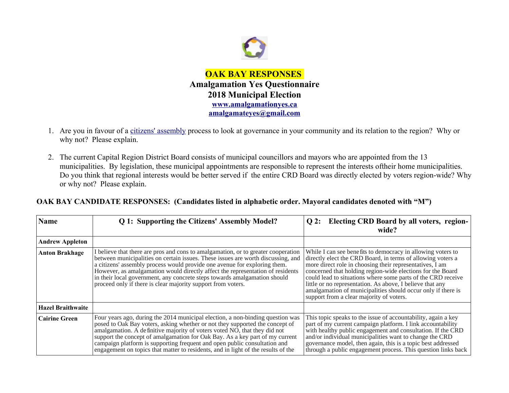

- 1. Are you in favour of a [citizens' assembly](https://en.wikipedia.org/wiki/Citizens) process to look at governance in your community and its relation to the region? Why or why not? Please explain.
- 2. The current Capital Region District Board consists of municipal councillors and mayors who are appointed from the 13 municipalities. By legislation, these municipal appointments are responsible to represent the interests oftheir home municipalities. Do you think that regional interests would be better served if the entire CRD Board was directly elected by voters region-wide? Why or why not? Please explain.

**OAK BAY CANDIDATE RESPONSES: (Candidates listed in alphabetic order. Mayoral candidates denoted with "M")**

| <b>Name</b>              | Q 1: Supporting the Citizens' Assembly Model?                                                                                                                                                                                                                                                                                                                                                                                                                                                 | Q 2: Electing CRD Board by all voters, region-<br>wide?                                                                                                                                                                                                                                                                                                                                                                                                                                       |
|--------------------------|-----------------------------------------------------------------------------------------------------------------------------------------------------------------------------------------------------------------------------------------------------------------------------------------------------------------------------------------------------------------------------------------------------------------------------------------------------------------------------------------------|-----------------------------------------------------------------------------------------------------------------------------------------------------------------------------------------------------------------------------------------------------------------------------------------------------------------------------------------------------------------------------------------------------------------------------------------------------------------------------------------------|
| <b>Andrew Appleton</b>   |                                                                                                                                                                                                                                                                                                                                                                                                                                                                                               |                                                                                                                                                                                                                                                                                                                                                                                                                                                                                               |
| <b>Anton Brakhage</b>    | I believe that there are pros and cons to amalgamation, or to greater cooperation<br>between municipalities on certain issues. These issues are worth discussing, and<br>a citizens' assembly process would provide one avenue for exploring them.<br>However, as amalgamation would directly affect the representation of residents<br>in their local government, any concrete steps towards amalgamation should<br>proceed only if there is clear majority support from voters.             | While I can see benefits to democracy in allowing voters to<br>directly elect the CRD Board, in terms of allowing voters a<br>more direct role in choosing their representatives, I am<br>concerned that holding region-wide elections for the Board<br>could lead to situations where some parts of the CRD receive<br>little or no representation. As above, I believe that any<br>amalgamation of municipalities should occur only if there is<br>support from a clear majority of voters. |
| <b>Hazel Braithwaite</b> |                                                                                                                                                                                                                                                                                                                                                                                                                                                                                               |                                                                                                                                                                                                                                                                                                                                                                                                                                                                                               |
| <b>Cairine Green</b>     | Four years ago, during the 2014 municipal election, a non-binding question was<br>posed to Oak Bay voters, asking whether or not they supported the concept of<br>amalgamation. A definitive majority of voters voted NO, that they did not<br>support the concept of amalgamation for Oak Bay. As a key part of my current<br>campaign platform is supporting frequent and open public consultation and<br>engagement on topics that matter to residents, and in light of the results of the | This topic speaks to the issue of accountability, again a key<br>part of my current campaign platform. I link accountability<br>with healthy public engagement and consultation. If the CRD<br>and/or individual municipalities want to change the CRD<br>governance model, then again, this is a topic best addressed<br>through a public engagement process. This question links back                                                                                                       |